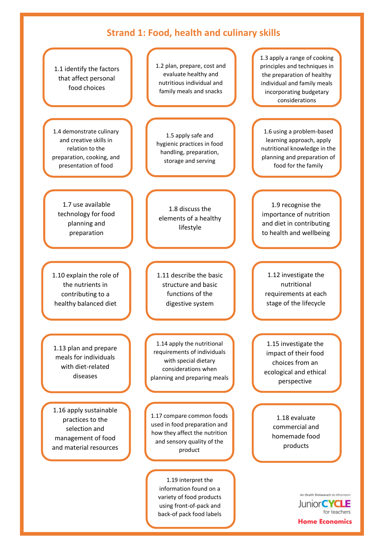## **Strand 1: Food, health and culinary skills**



back-of pack food labels

**Home Economics** 

for teachers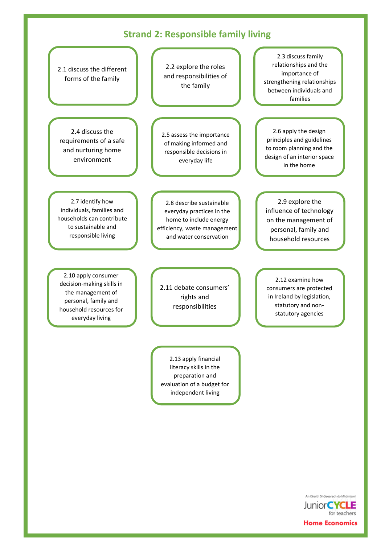## **Strand 2: Responsible family living**



Junior CYCLE for teachers **Home Economics** 

An tSraith Shóisearach do Mhúinteoirí